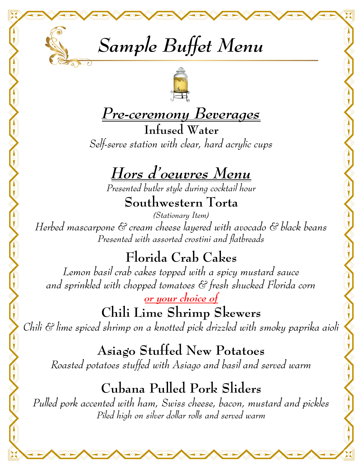



#### *Pre-ceremony Beverages*

**Infused Water** *Self-serve station with clear, hard acrylic cups* 

# *Hors d'oeuvres Menu*

*Presented butler style during cocktail hour*

**Southwestern Torta** 

*(Stationary Item) Herbed mascarpone & cream cheese layered with avocado & black beans Presented with assorted crostini and flatbreads* 

#### **Florida Crab Cakes**

*Lemon basil crab cakes topped with a spicy mustard sauce and sprinkled with chopped tomatoes & fresh shucked Florida corn* 

*or your choice of*  **Chili Lime Shrimp Skewers**  *Chili & lime spiced shrimp on a knotted pick drizzled with smoky paprika aioli* 

**Asiago Stuffed New Potatoes**  *Roasted potatoes stuffed with Asiago and basil and served warm* 

## **Cubana Pulled Pork Sliders**

*Pulled pork accented with ham, Swiss cheese, bacon, mustard and pickles Piled high on silver dollar rolls and served warm*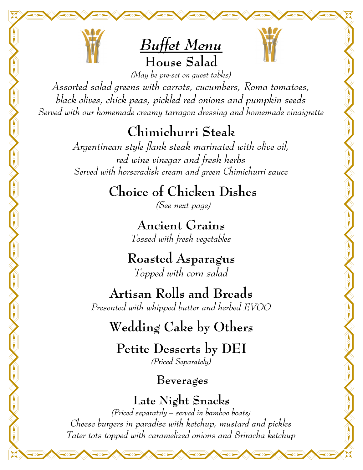



*(May be pre-set on guest tables) Assorted salad greens with carrots, cucumbers, Roma tomatoes, black olives, chick peas, pickled red onions and pumpkin seeds Served with our homemade creamy tarragon dressing and homemade vinaigrette* 

# **Chimichurri Steak**

*Argentinean style flank steak marinated with olive oil, red wine vinegar and fresh herbs Served with horseradish cream and green Chimichurri sauce* 

# **Choice of Chicken Dishes**

*(See next page)* 

**Ancient Grains**  *Tossed with fresh vegetables* 

**Roasted Asparagus** *Topped with corn salad* 

**Artisan Rolls and Breads**  *Presented with whipped butter and herbed EVOO* 

## **Wedding Cake by Others**

**Petite Desserts by DEI**  *(Priced Separately)* 

#### **Beverages**

**Late Night Snacks** 

*(Priced separately – served in bamboo boats) Cheese burgers in paradise with ketchup, mustard and pickles Tater tots topped with caramelized onions and Sriracha ketchup*